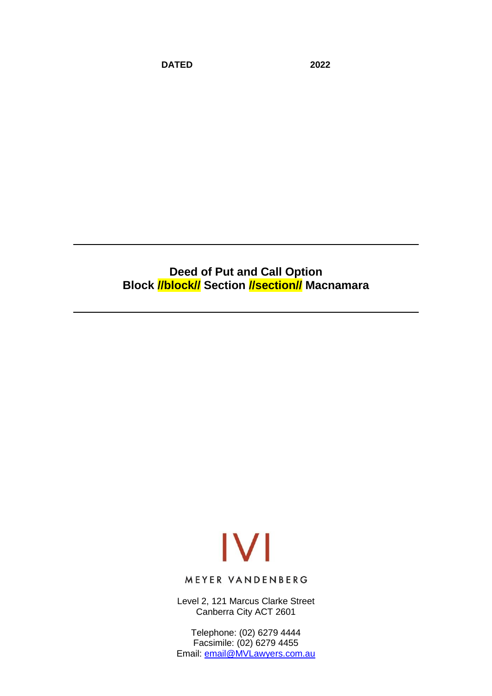**DATED 2022**

**Deed of Put and Call Option Block //block// Section //section// Macnamara**

# $|V|$

MEYER VANDENBERG

Level 2, 121 Marcus Clarke Street Canberra City ACT 2601

Telephone: (02) 6279 4444 Facsimile: (02) 6279 4455 Email: [email@MVLawyers.com.au](mailto:email@MVLawyers.com.au)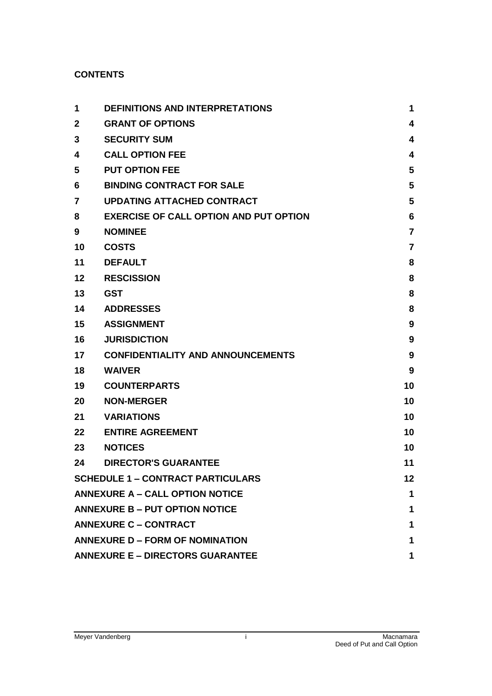# **CONTENTS**

| 1                                          | <b>DEFINITIONS AND INTERPRETATIONS</b>        | 1              |  |
|--------------------------------------------|-----------------------------------------------|----------------|--|
| $\mathbf{2}$                               | <b>GRANT OF OPTIONS</b>                       | 4              |  |
| 3                                          | <b>SECURITY SUM</b>                           | 4              |  |
| 4                                          | <b>CALL OPTION FEE</b>                        | 4              |  |
| 5                                          | <b>PUT OPTION FEE</b>                         | 5              |  |
| 6                                          | <b>BINDING CONTRACT FOR SALE</b>              | 5              |  |
| 7                                          | <b>UPDATING ATTACHED CONTRACT</b>             | 5              |  |
| 8                                          | <b>EXERCISE OF CALL OPTION AND PUT OPTION</b> | 6              |  |
| 9                                          | <b>NOMINEE</b>                                | $\overline{7}$ |  |
| 10                                         | <b>COSTS</b>                                  | 7              |  |
| 11                                         | <b>DEFAULT</b>                                | 8              |  |
| 12                                         | <b>RESCISSION</b>                             | 8              |  |
| 13                                         | <b>GST</b>                                    | 8              |  |
| 14                                         | <b>ADDRESSES</b>                              | 8              |  |
| 15                                         | <b>ASSIGNMENT</b>                             | 9              |  |
| 16                                         | <b>JURISDICTION</b>                           | 9              |  |
| 17                                         | <b>CONFIDENTIALITY AND ANNOUNCEMENTS</b>      | 9              |  |
| 18                                         | <b>WAIVER</b>                                 | 9              |  |
| 19                                         | <b>COUNTERPARTS</b>                           | 10             |  |
| 20                                         | <b>NON-MERGER</b>                             | 10             |  |
| 21                                         | <b>VARIATIONS</b>                             | 10             |  |
| 22                                         | <b>ENTIRE AGREEMENT</b>                       | 10             |  |
| 23                                         | <b>NOTICES</b>                                | 10             |  |
| 24                                         | <b>DIRECTOR'S GUARANTEE</b>                   | 11             |  |
| <b>SCHEDULE 1 - CONTRACT PARTICULARS</b>   |                                               |                |  |
| <b>ANNEXURE A - CALL OPTION NOTICE</b>     |                                               |                |  |
| <b>ANNEXURE B - PUT OPTION NOTICE</b><br>1 |                                               |                |  |
| <b>ANNEXURE C - CONTRACT</b>               |                                               |                |  |
| <b>ANNEXURE D - FORM OF NOMINATION</b>     |                                               |                |  |
| <b>ANNEXURE E - DIRECTORS GUARANTEE</b>    |                                               |                |  |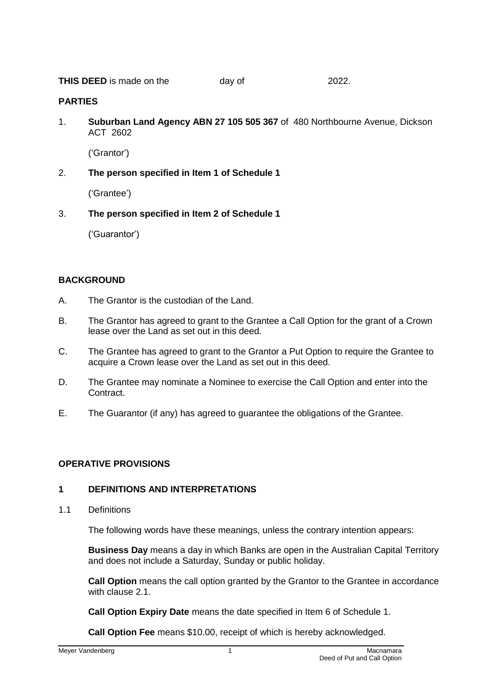**THIS DEED** is made on the day of 2022.

#### **PARTIES**

1. **Suburban Land Agency ABN 27 105 505 367** of 480 Northbourne Avenue, Dickson ACT 2602

('Grantor')

2. **The person specified in Item 1 of Schedule 1**

('Grantee')

3. **The person specified in Item 2 of Schedule 1**

('Guarantor')

### **BACKGROUND**

- A. The Grantor is the custodian of the Land.
- B. The Grantor has agreed to grant to the Grantee a Call Option for the grant of a Crown lease over the Land as set out in this deed.
- C. The Grantee has agreed to grant to the Grantor a Put Option to require the Grantee to acquire a Crown lease over the Land as set out in this deed.
- D. The Grantee may nominate a Nominee to exercise the Call Option and enter into the Contract.
- E. The Guarantor (if any) has agreed to guarantee the obligations of the Grantee.

### **OPERATIVE PROVISIONS**

### <span id="page-2-0"></span>**1 DEFINITIONS AND INTERPRETATIONS**

1.1 Definitions

The following words have these meanings, unless the contrary intention appears:

**Business Day** means a day in which Banks are open in the Australian Capital Territory and does not include a Saturday, Sunday or public holiday.

**Call Option** means the call option granted by the Grantor to the Grantee in accordance with clause [2.1.](#page-5-3)

**Call Option Expiry Date** means the date specified in Item 6 of Schedule 1.

**Call Option Fee** means \$10.00, receipt of which is hereby acknowledged.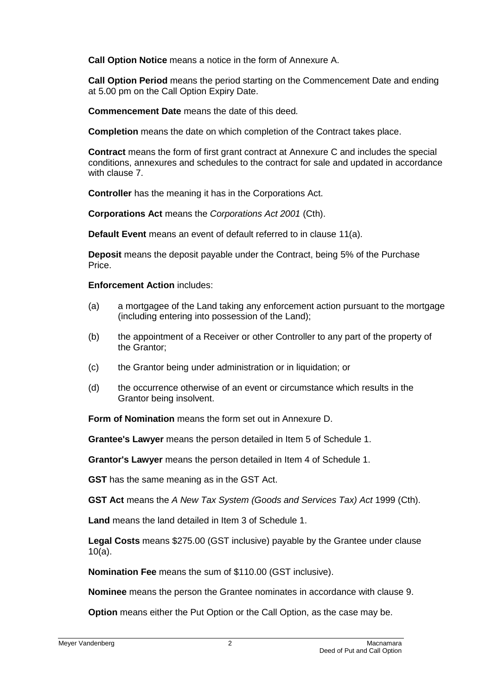**Call Option Notice** means a notice in the form of Annexure A.

**Call Option Period** means the period starting on the Commencement Date and ending at 5.00 pm on the Call Option Expiry Date.

**Commencement Date** means the date of this deed*.*

**Completion** means the date on which completion of the Contract takes place.

**Contract** means the form of first grant contract at Annexure C and includes the special conditions, annexures and schedules to the contract for sale and updated in accordance with clause **7** 

**Controller** has the meaning it has in the Corporations Act.

**Corporations Act** means the *Corporations Act 2001* (Cth).

**Default Event** means an event of default referred to in clause [11\(a\).](#page-9-4)

**Deposit** means the deposit payable under the Contract, being 5% of the Purchase Price.

#### **Enforcement Action** includes:

- (a) a mortgagee of the Land taking any enforcement action pursuant to the mortgage (including entering into possession of the Land);
- (b) the appointment of a Receiver or other Controller to any part of the property of the Grantor;
- (c) the Grantor being under administration or in liquidation; or
- (d) the occurrence otherwise of an event or circumstance which results in the Grantor being insolvent.

**Form of Nomination** means the form set out in Annexure D.

**Grantee's Lawyer** means the person detailed in Item 5 of Schedule 1.

**Grantor's Lawyer** means the person detailed in Item 4 of Schedule 1.

**GST** has the same meaning as in the GST Act.

**GST Act** means the *A New Tax System (Goods and Services Tax) Act* 1999 (Cth).

**Land** means the land detailed in Item 3 of Schedule 1.

**Legal Costs** means \$275.00 (GST inclusive) payable by the Grantee under clause [10\(a\).](#page-8-2)

**Nomination Fee** means the sum of \$110.00 (GST inclusive).

**Nominee** means the person the Grantee nominates in accordance with clause [9.](#page-8-0)

**Option** means either the Put Option or the Call Option, as the case may be.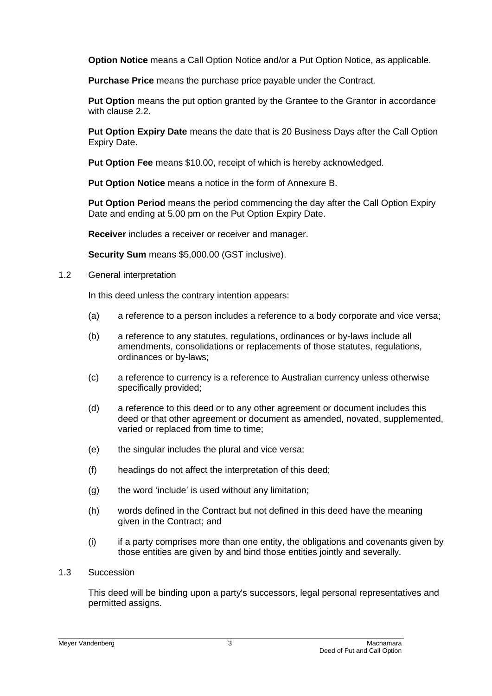**Option Notice** means a Call Option Notice and/or a Put Option Notice, as applicable.

**Purchase Price** means the purchase price payable under the Contract*.* 

**Put Option** means the put option granted by the Grantee to the Grantor in accordance with clause [2.2.](#page-5-4)

**Put Option Expiry Date** means the date that is 20 Business Days after the Call Option Expiry Date.

**Put Option Fee** means \$10.00, receipt of which is hereby acknowledged.

**Put Option Notice** means a notice in the form of Annexure B.

**Put Option Period** means the period commencing the day after the Call Option Expiry Date and ending at 5.00 pm on the Put Option Expiry Date.

**Receiver** includes a receiver or receiver and manager.

**Security Sum** means \$5,000.00 (GST inclusive).

#### 1.2 General interpretation

In this deed unless the contrary intention appears:

- (a) a reference to a person includes a reference to a body corporate and vice versa;
- (b) a reference to any statutes, regulations, ordinances or by-laws include all amendments, consolidations or replacements of those statutes, regulations, ordinances or by-laws;
- (c) a reference to currency is a reference to Australian currency unless otherwise specifically provided;
- (d) a reference to this deed or to any other agreement or document includes this deed or that other agreement or document as amended, novated, supplemented, varied or replaced from time to time;
- (e) the singular includes the plural and vice versa;
- (f) headings do not affect the interpretation of this deed;
- (g) the word 'include' is used without any limitation;
- (h) words defined in the Contract but not defined in this deed have the meaning given in the Contract; and
- (i) if a party comprises more than one entity, the obligations and covenants given by those entities are given by and bind those entities jointly and severally.

### 1.3 Succession

This deed will be binding upon a party's successors, legal personal representatives and permitted assigns.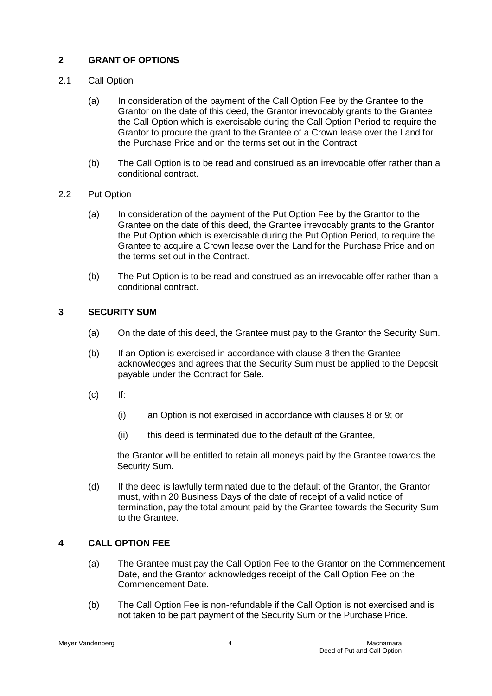# <span id="page-5-0"></span>**2 GRANT OF OPTIONS**

# <span id="page-5-3"></span>2.1 Call Option

- (a) In consideration of the payment of the Call Option Fee by the Grantee to the Grantor on the date of this deed, the Grantor irrevocably grants to the Grantee the Call Option which is exercisable during the Call Option Period to require the Grantor to procure the grant to the Grantee of a Crown lease over the Land for the Purchase Price and on the terms set out in the Contract.
- (b) The Call Option is to be read and construed as an irrevocable offer rather than a conditional contract.

# <span id="page-5-4"></span>2.2 Put Option

- (a) In consideration of the payment of the Put Option Fee by the Grantor to the Grantee on the date of this deed, the Grantee irrevocably grants to the Grantor the Put Option which is exercisable during the Put Option Period, to require the Grantee to acquire a Crown lease over the Land for the Purchase Price and on the terms set out in the Contract.
- (b) The Put Option is to be read and construed as an irrevocable offer rather than a conditional contract.

# <span id="page-5-1"></span>**3 SECURITY SUM**

- (a) On the date of this deed, the Grantee must pay to the Grantor the Security Sum.
- (b) If an Option is exercised in accordance with clause [8](#page-7-0) then the Grantee acknowledges and agrees that the Security Sum must be applied to the Deposit payable under the Contract for Sale.
- (c) If:
	- (i) an Option is not exercised in accordance with clauses [8](#page-7-0) or [9;](#page-8-0) or
	- (ii) this deed is terminated due to the default of the Grantee,

the Grantor will be entitled to retain all moneys paid by the Grantee towards the Security Sum.

(d) If the deed is lawfully terminated due to the default of the Grantor, the Grantor must, within 20 Business Days of the date of receipt of a valid notice of termination, pay the total amount paid by the Grantee towards the Security Sum to the Grantee.

# <span id="page-5-2"></span>**4 CALL OPTION FEE**

- (a) The Grantee must pay the Call Option Fee to the Grantor on the Commencement Date, and the Grantor acknowledges receipt of the Call Option Fee on the Commencement Date.
- (b) The Call Option Fee is non-refundable if the Call Option is not exercised and is not taken to be part payment of the Security Sum or the Purchase Price.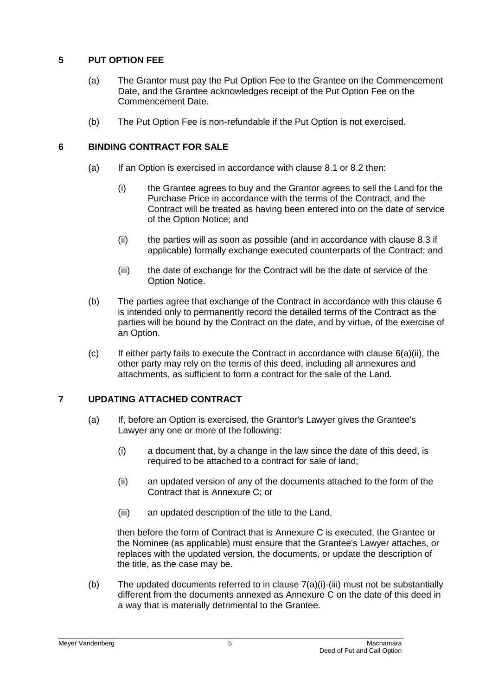# <span id="page-6-0"></span>**5 PUT OPTION FEE**

- (a) The Grantor must pay the Put Option Fee to the Grantee on the Commencement Date, and the Grantee acknowledges receipt of the Put Option Fee on the Commencement Date.
- (b) The Put Option Fee is non-refundable if the Put Option is not exercised.

# <span id="page-6-1"></span>**6 BINDING CONTRACT FOR SALE**

- (a) If an Option is exercised in accordance with clause [8.1](#page-7-1) or [8.2](#page-7-2) then:
	- (i) the Grantee agrees to buy and the Grantor agrees to sell the Land for the Purchase Price in accordance with the terms of the Contract, and the Contract will be treated as having been entered into on the date of service of the Option Notice; and
	- (ii) the parties will as soon as possible (and in accordance with clause [8.3](#page-7-3) if applicable) formally exchange executed counterparts of the Contract; and
	- (iii) the date of exchange for the Contract will be the date of service of the Option Notice.
- <span id="page-6-3"></span>(b) The parties agree that exchange of the Contract in accordance with this clause [6](#page-6-1) is intended only to permanently record the detailed terms of the Contract as the parties will be bound by the Contract on the date, and by virtue, of the exercise of an Option.
- $(c)$  If either party fails to execute the Contract in accordance with clause  $6(a)(ii)$ , the other party may rely on the terms of this deed, including all annexures and attachments, as sufficient to form a contract for the sale of the Land.

# <span id="page-6-2"></span>**7 UPDATING ATTACHED CONTRACT**

- <span id="page-6-4"></span>(a) If, before an Option is exercised, the Grantor's Lawyer gives the Grantee's Lawyer any one or more of the following:
	- (i) a document that, by a change in the law since the date of this deed, is required to be attached to a contract for sale of land;
	- (ii) an updated version of any of the documents attached to the form of the Contract that is Annexure C; or
	- (iii) an updated description of the title to the Land,

<span id="page-6-5"></span>then before the form of Contract that is Annexure C is executed, the Grantee or the Nominee (as applicable) must ensure that the Grantee's Lawyer attaches, or replaces with the updated version, the documents, or update the description of the title, as the case may be.

(b) The updated documents referred to in clause [7\(a\)\(i\)](#page-6-4)[-\(iii\)](#page-6-5) must not be substantially different from the documents annexed as Annexure C on the date of this deed in a way that is materially detrimental to the Grantee.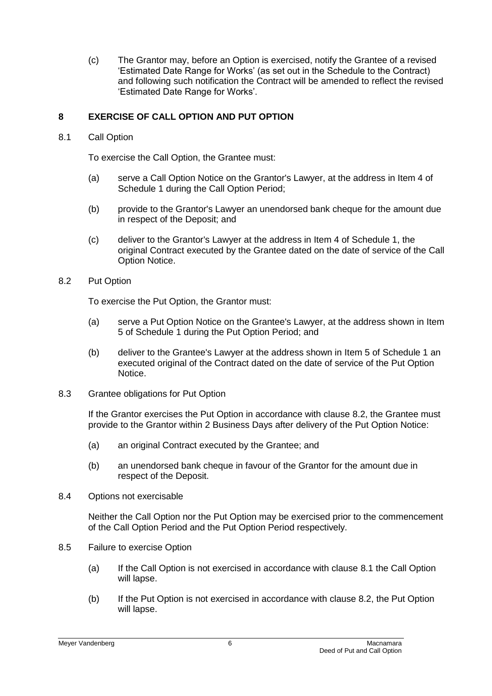(c) The Grantor may, before an Option is exercised, notify the Grantee of a revised 'Estimated Date Range for Works' (as set out in the Schedule to the Contract) and following such notification the Contract will be amended to reflect the revised 'Estimated Date Range for Works'.

# <span id="page-7-0"></span>**8 EXERCISE OF CALL OPTION AND PUT OPTION**

<span id="page-7-1"></span>8.1 Call Option

To exercise the Call Option, the Grantee must:

- (a) serve a Call Option Notice on the Grantor's Lawyer, at the address in Item 4 of Schedule 1 during the Call Option Period;
- (b) provide to the Grantor's Lawyer an unendorsed bank cheque for the amount due in respect of the Deposit; and
- (c) deliver to the Grantor's Lawyer at the address in Item 4 of Schedule 1, the original Contract executed by the Grantee dated on the date of service of the Call Option Notice.
- <span id="page-7-2"></span>8.2 Put Option

To exercise the Put Option, the Grantor must:

- (a) serve a Put Option Notice on the Grantee's Lawyer, at the address shown in Item 5 of Schedule 1 during the Put Option Period; and
- (b) deliver to the Grantee's Lawyer at the address shown in Item 5 of Schedule 1 an executed original of the Contract dated on the date of service of the Put Option Notice.
- <span id="page-7-3"></span>8.3 Grantee obligations for Put Option

If the Grantor exercises the Put Option in accordance with clause [8.2,](#page-7-2) the Grantee must provide to the Grantor within 2 Business Days after delivery of the Put Option Notice:

- (a) an original Contract executed by the Grantee; and
- (b) an unendorsed bank cheque in favour of the Grantor for the amount due in respect of the Deposit.
- 8.4 Options not exercisable

Neither the Call Option nor the Put Option may be exercised prior to the commencement of the Call Option Period and the Put Option Period respectively.

- 8.5 Failure to exercise Option
	- (a) If the Call Option is not exercised in accordance with clause [8.1](#page-7-1) the Call Option will lapse.
	- (b) If the Put Option is not exercised in accordance with clause [8.2,](#page-7-2) the Put Option will lapse.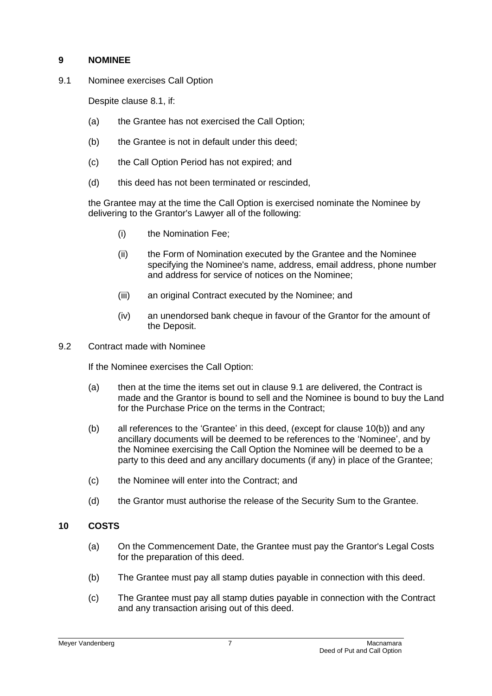# <span id="page-8-0"></span>**9 NOMINEE**

<span id="page-8-3"></span>9.1 Nominee exercises Call Option

Despite clause [8.1,](#page-7-1) if:

- (a) the Grantee has not exercised the Call Option;
- (b) the Grantee is not in default under this deed:
- (c) the Call Option Period has not expired; and
- (d) this deed has not been terminated or rescinded,

the Grantee may at the time the Call Option is exercised nominate the Nominee by delivering to the Grantor's Lawyer all of the following:

- (i) the Nomination Fee;
- (ii) the Form of Nomination executed by the Grantee and the Nominee specifying the Nominee's name, address, email address, phone number and address for service of notices on the Nominee;
- (iii) an original Contract executed by the Nominee; and
- (iv) an unendorsed bank cheque in favour of the Grantor for the amount of the Deposit.
- 9.2 Contract made with Nominee

If the Nominee exercises the Call Option:

- (a) then at the time the items set out in clause [9.1](#page-8-3) are delivered, the Contract is made and the Grantor is bound to sell and the Nominee is bound to buy the Land for the Purchase Price on the terms in the Contract;
- (b) all references to the 'Grantee' in this deed, (except for clause [10\(b\)\)](#page-8-4) and any ancillary documents will be deemed to be references to the 'Nominee', and by the Nominee exercising the Call Option the Nominee will be deemed to be a party to this deed and any ancillary documents (if any) in place of the Grantee;
- (c) the Nominee will enter into the Contract; and
- (d) the Grantor must authorise the release of the Security Sum to the Grantee.

### <span id="page-8-2"></span><span id="page-8-1"></span>**10 COSTS**

- (a) On the Commencement Date, the Grantee must pay the Grantor's Legal Costs for the preparation of this deed.
- <span id="page-8-4"></span>(b) The Grantee must pay all stamp duties payable in connection with this deed.
- (c) The Grantee must pay all stamp duties payable in connection with the Contract and any transaction arising out of this deed.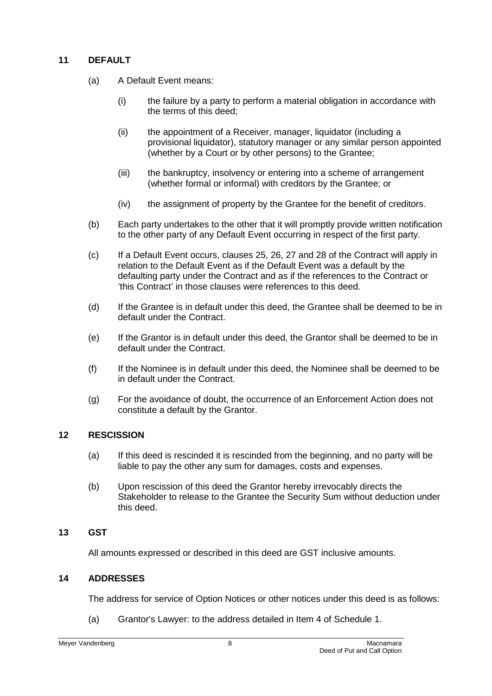# <span id="page-9-4"></span><span id="page-9-0"></span>**11 DEFAULT**

- (a) A Default Event means:
	- (i) the failure by a party to perform a material obligation in accordance with the terms of this deed;
	- (ii) the appointment of a Receiver, manager, liquidator (including a provisional liquidator), statutory manager or any similar person appointed (whether by a Court or by other persons) to the Grantee;
	- (iii) the bankruptcy, insolvency or entering into a scheme of arrangement (whether formal or informal) with creditors by the Grantee; or
	- (iv) the assignment of property by the Grantee for the benefit of creditors.
- (b) Each party undertakes to the other that it will promptly provide written notification to the other party of any Default Event occurring in respect of the first party.
- (c) If a Default Event occurs, clauses 25, 26, 27 and 28 of the Contract will apply in relation to the Default Event as if the Default Event was a default by the defaulting party under the Contract and as if the references to the Contract or 'this Contract' in those clauses were references to this deed.
- (d) If the Grantee is in default under this deed, the Grantee shall be deemed to be in default under the Contract.
- (e) If the Grantor is in default under this deed, the Grantor shall be deemed to be in default under the Contract.
- (f) If the Nominee is in default under this deed, the Nominee shall be deemed to be in default under the Contract.
- (g) For the avoidance of doubt, the occurrence of an Enforcement Action does not constitute a default by the Grantor.

### <span id="page-9-1"></span>**12 RESCISSION**

- (a) If this deed is rescinded it is rescinded from the beginning, and no party will be liable to pay the other any sum for damages, costs and expenses.
- (b) Upon rescission of this deed the Grantor hereby irrevocably directs the Stakeholder to release to the Grantee the Security Sum without deduction under this deed.

#### <span id="page-9-2"></span>**13 GST**

All amounts expressed or described in this deed are GST inclusive amounts.

### <span id="page-9-3"></span>**14 ADDRESSES**

The address for service of Option Notices or other notices under this deed is as follows:

(a) Grantor's Lawyer: to the address detailed in Item 4 of Schedule 1.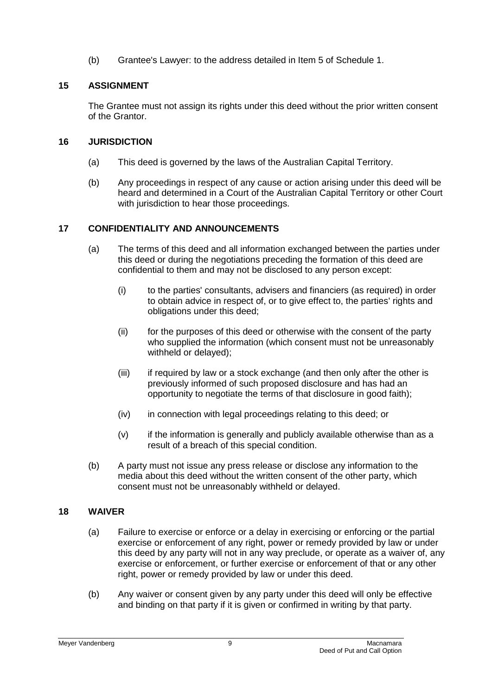(b) Grantee's Lawyer: to the address detailed in Item 5 of Schedule 1.

# <span id="page-10-0"></span>**15 ASSIGNMENT**

The Grantee must not assign its rights under this deed without the prior written consent of the Grantor.

## <span id="page-10-1"></span>**16 JURISDICTION**

- (a) This deed is governed by the laws of the Australian Capital Territory.
- (b) Any proceedings in respect of any cause or action arising under this deed will be heard and determined in a Court of the Australian Capital Territory or other Court with jurisdiction to hear those proceedings.

# <span id="page-10-2"></span>**17 CONFIDENTIALITY AND ANNOUNCEMENTS**

- (a) The terms of this deed and all information exchanged between the parties under this deed or during the negotiations preceding the formation of this deed are confidential to them and may not be disclosed to any person except:
	- (i) to the parties' consultants, advisers and financiers (as required) in order to obtain advice in respect of, or to give effect to, the parties' rights and obligations under this deed;
	- (ii) for the purposes of this deed or otherwise with the consent of the party who supplied the information (which consent must not be unreasonably withheld or delayed);
	- (iii) if required by law or a stock exchange (and then only after the other is previously informed of such proposed disclosure and has had an opportunity to negotiate the terms of that disclosure in good faith);
	- (iv) in connection with legal proceedings relating to this deed; or
	- (v) if the information is generally and publicly available otherwise than as a result of a breach of this special condition.
- (b) A party must not issue any press release or disclose any information to the media about this deed without the written consent of the other party, which consent must not be unreasonably withheld or delayed.

# <span id="page-10-3"></span>**18 WAIVER**

- (a) Failure to exercise or enforce or a delay in exercising or enforcing or the partial exercise or enforcement of any right, power or remedy provided by law or under this deed by any party will not in any way preclude, or operate as a waiver of, any exercise or enforcement, or further exercise or enforcement of that or any other right, power or remedy provided by law or under this deed.
- (b) Any waiver or consent given by any party under this deed will only be effective and binding on that party if it is given or confirmed in writing by that party.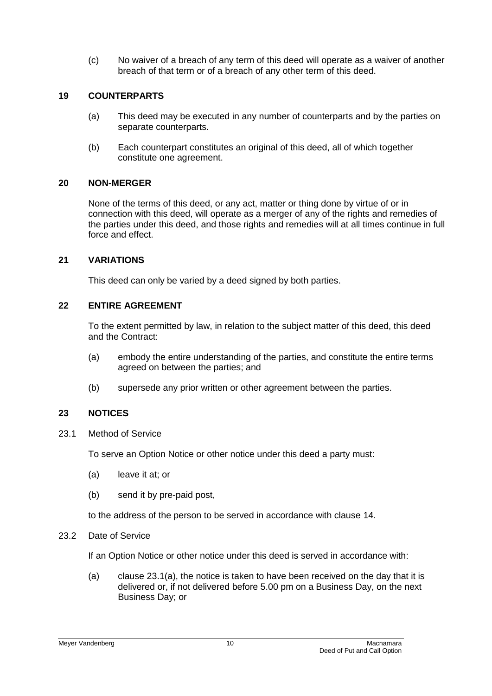(c) No waiver of a breach of any term of this deed will operate as a waiver of another breach of that term or of a breach of any other term of this deed.

#### <span id="page-11-0"></span>**19 COUNTERPARTS**

- (a) This deed may be executed in any number of counterparts and by the parties on separate counterparts.
- (b) Each counterpart constitutes an original of this deed, all of which together constitute one agreement.

#### <span id="page-11-1"></span>**20 NON-MERGER**

None of the terms of this deed, or any act, matter or thing done by virtue of or in connection with this deed, will operate as a merger of any of the rights and remedies of the parties under this deed, and those rights and remedies will at all times continue in full force and effect.

#### <span id="page-11-2"></span>**21 VARIATIONS**

This deed can only be varied by a deed signed by both parties.

#### <span id="page-11-3"></span>**22 ENTIRE AGREEMENT**

To the extent permitted by law, in relation to the subject matter of this deed, this deed and the Contract:

- (a) embody the entire understanding of the parties, and constitute the entire terms agreed on between the parties; and
- (b) supersede any prior written or other agreement between the parties.

#### <span id="page-11-4"></span>**23 NOTICES**

23.1 Method of Service

To serve an Option Notice or other notice under this deed a party must:

- <span id="page-11-5"></span>(a) leave it at; or
- <span id="page-11-6"></span>(b) send it by pre-paid post,

to the address of the person to be served in accordance with clause [14.](#page-9-3)

23.2 Date of Service

If an Option Notice or other notice under this deed is served in accordance with:

(a) clause  $23.1(a)$ , the notice is taken to have been received on the day that it is delivered or, if not delivered before 5.00 pm on a Business Day, on the next Business Day; or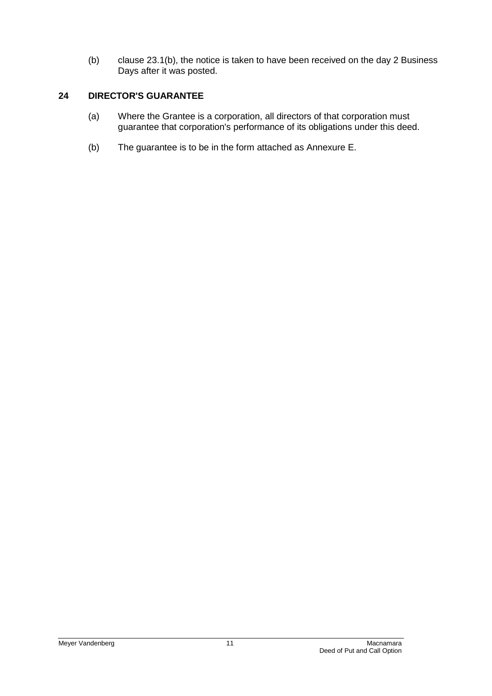(b) clause [23.1\(b\),](#page-11-6) the notice is taken to have been received on the day 2 Business Days after it was posted.

## <span id="page-12-0"></span>**24 DIRECTOR'S GUARANTEE**

- (a) Where the Grantee is a corporation, all directors of that corporation must guarantee that corporation's performance of its obligations under this deed.
- (b) The guarantee is to be in the form attached as Annexure E.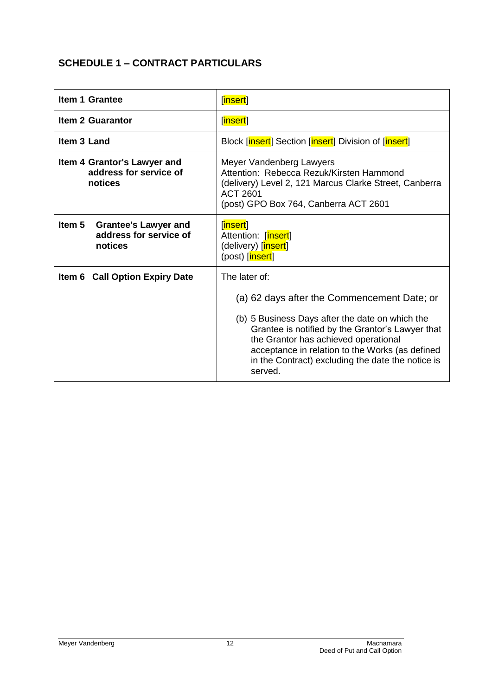# <span id="page-13-0"></span>**SCHEDULE 1 – CONTRACT PARTICULARS**

| <b>Item 1 Grantee</b>                                                      | [insert]                                                                                                                                                                                                                                                                                                                       |  |  |
|----------------------------------------------------------------------------|--------------------------------------------------------------------------------------------------------------------------------------------------------------------------------------------------------------------------------------------------------------------------------------------------------------------------------|--|--|
| <b>Item 2 Guarantor</b>                                                    | [insert]                                                                                                                                                                                                                                                                                                                       |  |  |
| Item 3 Land                                                                | Block [insert] Section [insert] Division of [insert]                                                                                                                                                                                                                                                                           |  |  |
| Item 4 Grantor's Lawyer and<br>address for service of<br>notices           | Meyer Vandenberg Lawyers<br>Attention: Rebecca Rezuk/Kirsten Hammond<br>(delivery) Level 2, 121 Marcus Clarke Street, Canberra<br>ACT 2601<br>(post) GPO Box 764, Canberra ACT 2601                                                                                                                                            |  |  |
| Item 5<br><b>Grantee's Lawyer and</b><br>address for service of<br>notices | [insert]<br>Attention: [insert]<br>(delivery) [insert]<br>(post) [insert]                                                                                                                                                                                                                                                      |  |  |
| Item 6 Call Option Expiry Date                                             | The later of:<br>(a) 62 days after the Commencement Date; or<br>(b) 5 Business Days after the date on which the<br>Grantee is notified by the Grantor's Lawyer that<br>the Grantor has achieved operational<br>acceptance in relation to the Works (as defined<br>in the Contract) excluding the date the notice is<br>served. |  |  |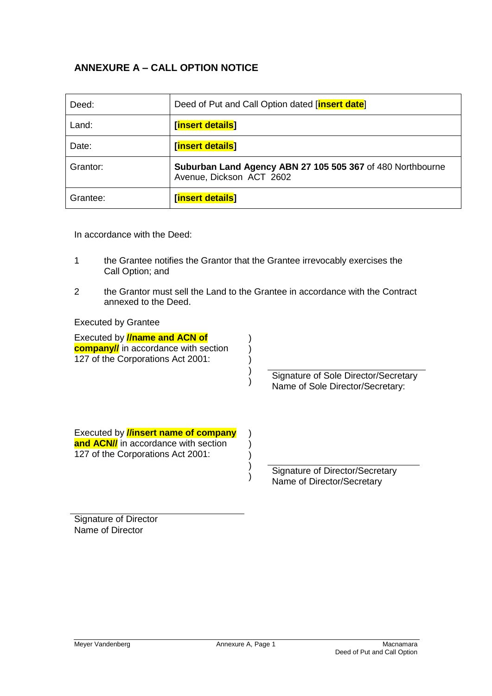# <span id="page-14-0"></span>**ANNEXURE A – CALL OPTION NOTICE**

| Deed:    | Deed of Put and Call Option dated [insert date]                                        |  |  |
|----------|----------------------------------------------------------------------------------------|--|--|
| Land:    | <b>[insert details]</b>                                                                |  |  |
| Date:    | [insert details]                                                                       |  |  |
| Grantor: | Suburban Land Agency ABN 27 105 505 367 of 480 Northbourne<br>Avenue, Dickson ACT 2602 |  |  |
| Grantee: | [insert details]                                                                       |  |  |

In accordance with the Deed:

- 1 the Grantee notifies the Grantor that the Grantee irrevocably exercises the Call Option; and
- 2 the Grantor must sell the Land to the Grantee in accordance with the Contract annexed to the Deed.

) ) ) ) )

) ) ) ) )

Executed by Grantee

| Executed by <b>//name and ACN of</b>        |  |  |  |  |  |
|---------------------------------------------|--|--|--|--|--|
| <b>company//</b> in accordance with section |  |  |  |  |  |
| 127 of the Corporations Act 2001:           |  |  |  |  |  |

Signature of Sole Director/Secretary Name of Sole Director/Secretary:

Executed by **//insert name of company and ACN//** in accordance with section 127 of the Corporations Act 2001:

> Signature of Director/Secretary Name of Director/Secretary

Signature of Director Name of Director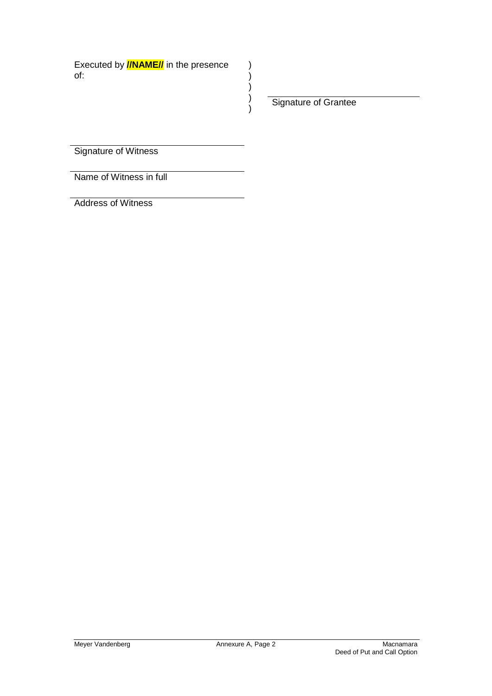Signature of Grantee

) ) ) ) )

Signature of Witness

Name of Witness in full

Address of Witness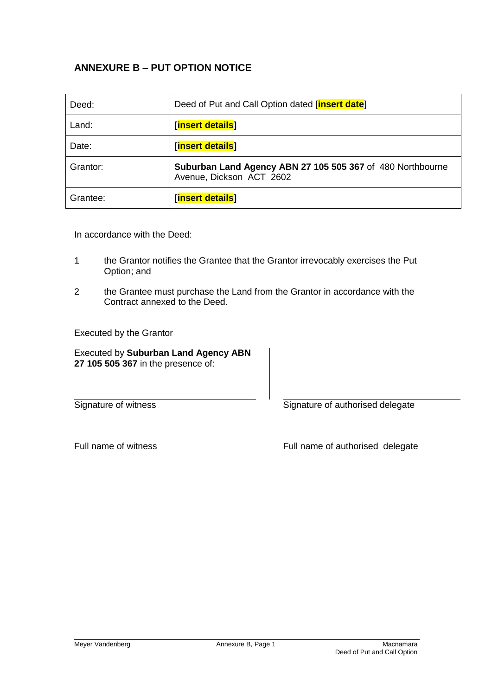# <span id="page-16-0"></span>**ANNEXURE B – PUT OPTION NOTICE**

| Deed:    | Deed of Put and Call Option dated [insert date]                                        |  |  |  |
|----------|----------------------------------------------------------------------------------------|--|--|--|
| Land:    | [insert details]                                                                       |  |  |  |
| Date:    | [insert details]                                                                       |  |  |  |
| Grantor: | Suburban Land Agency ABN 27 105 505 367 of 480 Northbourne<br>Avenue, Dickson ACT 2602 |  |  |  |
| Grantee: | [insert details]                                                                       |  |  |  |

In accordance with the Deed:

- 1 the Grantor notifies the Grantee that the Grantor irrevocably exercises the Put Option; and
- 2 the Grantee must purchase the Land from the Grantor in accordance with the Contract annexed to the Deed.

Executed by the Grantor

Executed by **Suburban Land Agency ABN 27 105 505 367** in the presence of:

Signature of witness Signature of authorised delegate

Full name of witness Full name of authorised delegate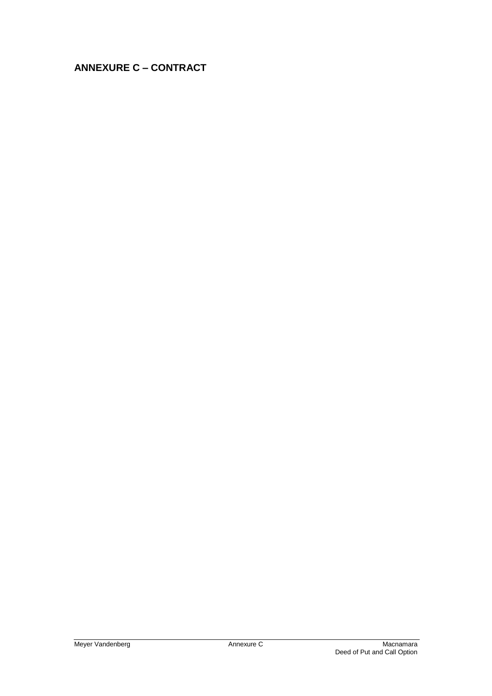# <span id="page-17-0"></span>**ANNEXURE C – CONTRACT**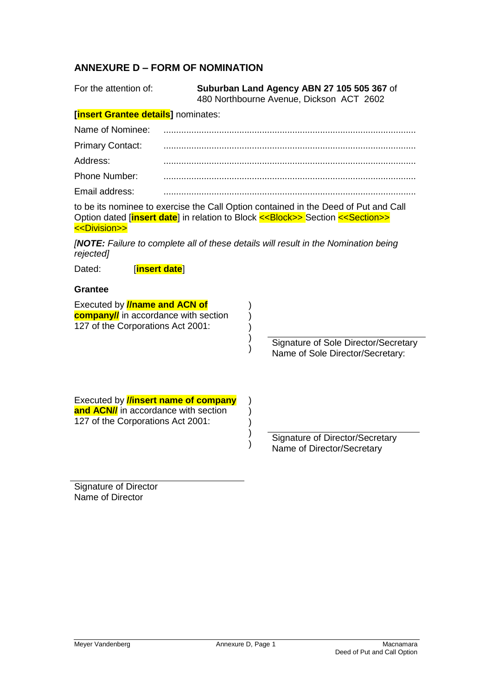# <span id="page-18-0"></span>**ANNEXURE D – FORM OF NOMINATION**

| For the attention of:                                                                                                                                                                                                                     |  | Suburban Land Agency ABN 27 105 505 367 of<br>480 Northbourne Avenue, Dickson ACT 2602 |                                                                          |  |  |  |  |
|-------------------------------------------------------------------------------------------------------------------------------------------------------------------------------------------------------------------------------------------|--|----------------------------------------------------------------------------------------|--------------------------------------------------------------------------|--|--|--|--|
| [insert Grantee details] nominates:                                                                                                                                                                                                       |  |                                                                                        |                                                                          |  |  |  |  |
| Name of Nominee:                                                                                                                                                                                                                          |  |                                                                                        |                                                                          |  |  |  |  |
| <b>Primary Contact:</b>                                                                                                                                                                                                                   |  |                                                                                        |                                                                          |  |  |  |  |
| Address:                                                                                                                                                                                                                                  |  |                                                                                        |                                                                          |  |  |  |  |
| Phone Number:                                                                                                                                                                                                                             |  |                                                                                        |                                                                          |  |  |  |  |
| Email address:                                                                                                                                                                                                                            |  |                                                                                        |                                                                          |  |  |  |  |
| to be its nominee to exercise the Call Option contained in the Deed of Put and Call<br>Option dated <i>[insert date]</i> in relation to Block < <block>&gt; Section &lt;<section>&gt;<br/>&lt;<division>&gt;</division></section></block> |  |                                                                                        |                                                                          |  |  |  |  |
| <b>[NOTE:</b> Failure to complete all of these details will result in the Nomination being<br>rejected]                                                                                                                                   |  |                                                                                        |                                                                          |  |  |  |  |
| Dated:<br>[insert date]                                                                                                                                                                                                                   |  |                                                                                        |                                                                          |  |  |  |  |
| <b>Grantee</b>                                                                                                                                                                                                                            |  |                                                                                        |                                                                          |  |  |  |  |
| Executed by <b>//name and ACN of</b><br><b>company//</b> in accordance with section<br>127 of the Corporations Act 2001:                                                                                                                  |  |                                                                                        | Signature of Sole Director/Secretary<br>Name of Sole Director/Secretary: |  |  |  |  |
| Executed by <b>//insert name of company</b><br>and ACN// in accordance with section<br>127 of the Corporations Act 2001:                                                                                                                  |  |                                                                                        | Signature of Director/Secretary<br>Name of Director/Secretary            |  |  |  |  |

Signature of Director Name of Director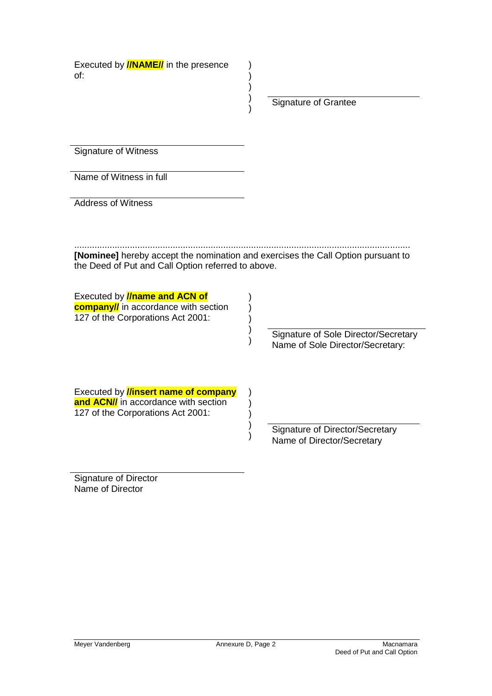Signature of Grantee

Signature of Witness

Name of Witness in full

Address of Witness

..................................................................................................................................... **[Nominee]** hereby accept the nomination and exercises the Call Option pursuant to the Deed of Put and Call Option referred to above.

> ) ) ) ) )

) ) ) ) )

) ) ) ) )

Executed by **//name and ACN of company//** in accordance with section 127 of the Corporations Act 2001:

> Signature of Sole Director/Secretary Name of Sole Director/Secretary:

Executed by **//insert name of company and ACN//** in accordance with section 127 of the Corporations Act 2001:

> Signature of Director/Secretary Name of Director/Secretary

Signature of Director Name of Director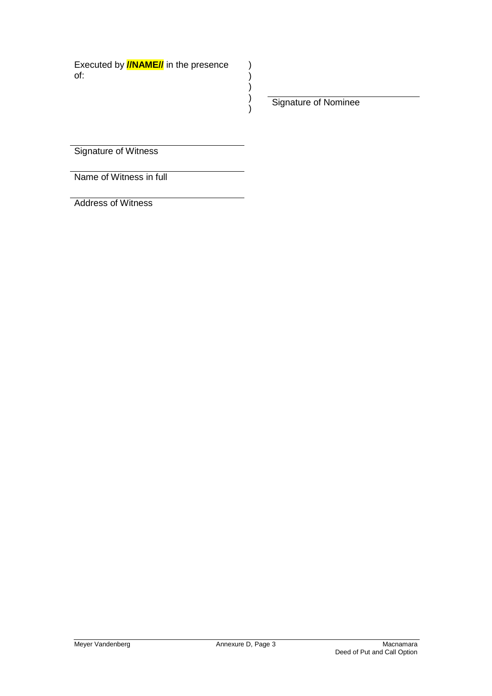Signature of Nominee

) ) ) ) )

Signature of Witness

Name of Witness in full

Address of Witness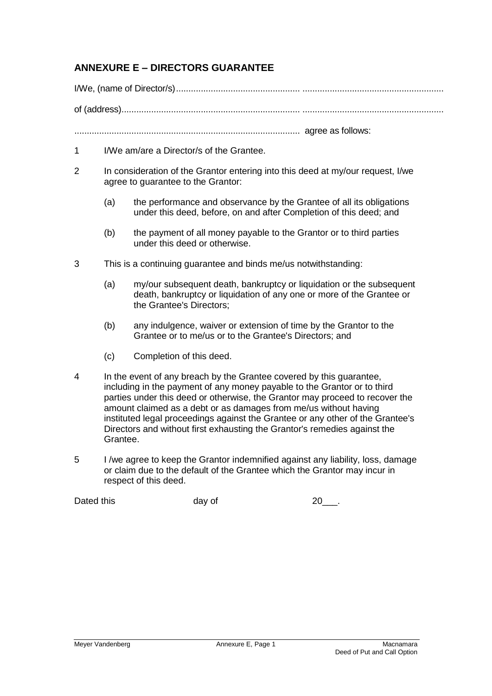# <span id="page-21-0"></span>**ANNEXURE E – DIRECTORS GUARANTEE**

I/We, (name of Director/s).................................................. .........................................................

of (address)........................................................................ .........................................................

........................................................................................... agree as follows:

- 1 I/We am/are a Director/s of the Grantee.
- 2 In consideration of the Grantor entering into this deed at my/our request, I/we agree to guarantee to the Grantor:
	- (a) the performance and observance by the Grantee of all its obligations under this deed, before, on and after Completion of this deed; and
	- (b) the payment of all money payable to the Grantor or to third parties under this deed or otherwise.
- 3 This is a continuing guarantee and binds me/us notwithstanding:
	- (a) my/our subsequent death, bankruptcy or liquidation or the subsequent death, bankruptcy or liquidation of any one or more of the Grantee or the Grantee's Directors;
	- (b) any indulgence, waiver or extension of time by the Grantor to the Grantee or to me/us or to the Grantee's Directors; and
	- (c) Completion of this deed.
- 4 In the event of any breach by the Grantee covered by this guarantee, including in the payment of any money payable to the Grantor or to third parties under this deed or otherwise, the Grantor may proceed to recover the amount claimed as a debt or as damages from me/us without having instituted legal proceedings against the Grantee or any other of the Grantee's Directors and without first exhausting the Grantor's remedies against the Grantee.
- 5 I /we agree to keep the Grantor indemnified against any liability, loss, damage or claim due to the default of the Grantee which the Grantor may incur in respect of this deed.

Dated this day of 20 and 20 and 20 and 20 and 20 and 20 and 20 and 20 and 20 and 20 and 20 and 20 and 20 and 20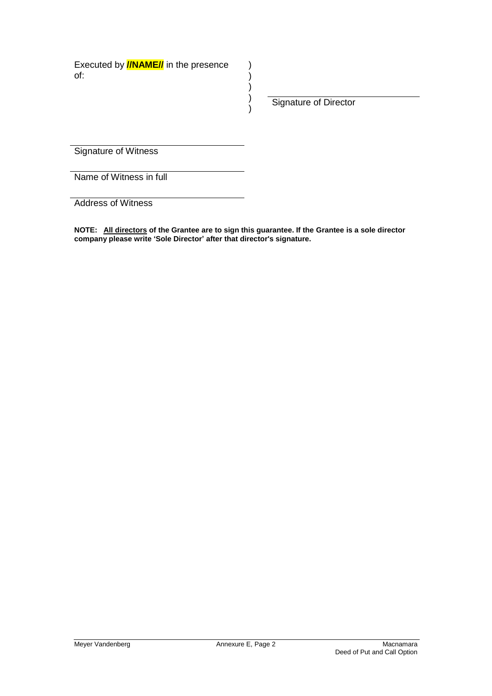Signature of Director

Signature of Witness

Name of Witness in full

Address of Witness

**NOTE: All directors of the Grantee are to sign this guarantee. If the Grantee is a sole director company please write 'Sole Director' after that director's signature.**

)  $\overline{\phantom{a}}$ ) )  $\lambda$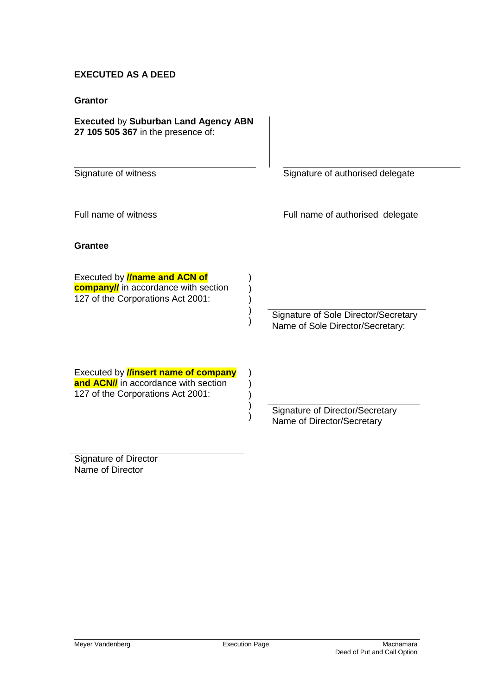#### **EXECUTED AS A DEED**

#### **Grantor**

**Grantee**

#### **Executed** by **Suburban Land Agency ABN 27 105 505 367** in the presence of:

Executed by **//name and ACN of company//** in accordance with section 127 of the Corporations Act 2001:

Signature of witness Signature of authorised delegate

Full name of witness **Full name of authorised delegate** 

Signature of Sole Director/Secretary Name of Sole Director/Secretary:

Executed by **//insert name of company and ACN//** in accordance with section 127 of the Corporations Act 2001:

> Signature of Director/Secretary Name of Director/Secretary

Signature of Director Name of Director

) ) ) ) )

) ) ) ) )